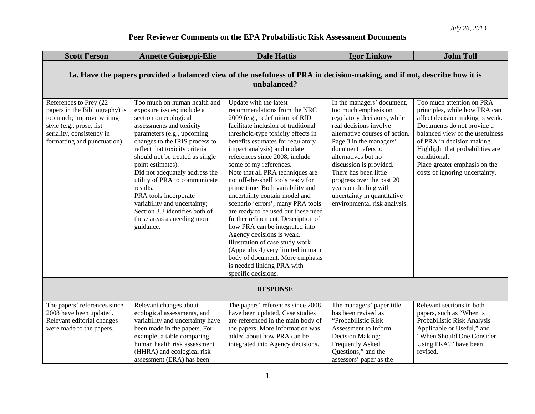| <b>Scott Ferson</b>                                                                                                                                                            | <b>Annette Guiseppi-Elie</b>                                                                                                                                                                                                                                                                                                                                                                                                                                                                    | <b>Dale Hattis</b>                                                                                                                                                                                                                                                                                                                                                                                                                                                                                                                                                                                                                                                                                                                                                                                     | <b>Igor Linkow</b>                                                                                                                                                                                                                                                                                                                                                                             | <b>John Toll</b>                                                                                                                                                                                                                                                                                                    |  |
|--------------------------------------------------------------------------------------------------------------------------------------------------------------------------------|-------------------------------------------------------------------------------------------------------------------------------------------------------------------------------------------------------------------------------------------------------------------------------------------------------------------------------------------------------------------------------------------------------------------------------------------------------------------------------------------------|--------------------------------------------------------------------------------------------------------------------------------------------------------------------------------------------------------------------------------------------------------------------------------------------------------------------------------------------------------------------------------------------------------------------------------------------------------------------------------------------------------------------------------------------------------------------------------------------------------------------------------------------------------------------------------------------------------------------------------------------------------------------------------------------------------|------------------------------------------------------------------------------------------------------------------------------------------------------------------------------------------------------------------------------------------------------------------------------------------------------------------------------------------------------------------------------------------------|---------------------------------------------------------------------------------------------------------------------------------------------------------------------------------------------------------------------------------------------------------------------------------------------------------------------|--|
| 1a. Have the papers provided a balanced view of the usefulness of PRA in decision-making, and if not, describe how it is<br>unbalanced?                                        |                                                                                                                                                                                                                                                                                                                                                                                                                                                                                                 |                                                                                                                                                                                                                                                                                                                                                                                                                                                                                                                                                                                                                                                                                                                                                                                                        |                                                                                                                                                                                                                                                                                                                                                                                                |                                                                                                                                                                                                                                                                                                                     |  |
| References to Frey (22<br>papers in the Bibliography) is<br>too much; improve writing<br>style (e.g., prose, list<br>seriality, consistency in<br>formatting and punctuation). | Too much on human health and<br>exposure issues; include a<br>section on ecological<br>assessments and toxicity<br>parameters (e.g., upcoming<br>changes to the IRIS process to<br>reflect that toxicity criteria<br>should not be treated as single<br>point estimates).<br>Did not adequately address the<br>utility of PRA to communicate<br>results.<br>PRA tools incorporate<br>variability and uncertainty;<br>Section 3.3 identifies both of<br>these areas as needing more<br>guidance. | Update with the latest<br>recommendations from the NRC<br>2009 (e.g., redefinition of RfD,<br>facilitate inclusion of traditional<br>threshold-type toxicity effects in<br>benefits estimates for regulatory<br>impact analysis) and update<br>references since 2008, include<br>some of my references.<br>Note that all PRA techniques are<br>not off-the-shelf tools ready for<br>prime time. Both variability and<br>uncertainty contain model and<br>scenario 'errors'; many PRA tools<br>are ready to be used but these need<br>further refinement. Description of<br>how PRA can be integrated into<br>Agency decisions is weak.<br>Illustration of case study work<br>(Appendix 4) very limited in main<br>body of document. More emphasis<br>is needed linking PRA with<br>specific decisions. | In the managers' document,<br>too much emphasis on<br>regulatory decisions, while<br>real decisions involve<br>alternative courses of action.<br>Page 3 in the managers'<br>document refers to<br>alternatives but no<br>discussion is provided.<br>There has been little<br>progress over the past 20<br>years on dealing with<br>uncertainty in quantitative<br>environmental risk analysis. | Too much attention on PRA<br>principles, while how PRA can<br>affect decision making is weak.<br>Documents do not provide a<br>balanced view of the usefulness<br>of PRA in decision making.<br>Highlight that probabilities are<br>conditional.<br>Place greater emphasis on the<br>costs of ignoring uncertainty. |  |
| <b>RESPONSE</b>                                                                                                                                                                |                                                                                                                                                                                                                                                                                                                                                                                                                                                                                                 |                                                                                                                                                                                                                                                                                                                                                                                                                                                                                                                                                                                                                                                                                                                                                                                                        |                                                                                                                                                                                                                                                                                                                                                                                                |                                                                                                                                                                                                                                                                                                                     |  |
| The papers' references since<br>2008 have been updated.<br>Relevant editorial changes<br>were made to the papers.                                                              | Relevant changes about<br>ecological assessments, and<br>variability and uncertainty have<br>been made in the papers. For<br>example, a table comparing<br>human health risk assessment<br>(HHRA) and ecological risk<br>assessment (ERA) has been                                                                                                                                                                                                                                              | The papers' references since 2008<br>have been updated. Case studies<br>are referenced in the main body of<br>the papers. More information was<br>added about how PRA can be<br>integrated into Agency decisions.                                                                                                                                                                                                                                                                                                                                                                                                                                                                                                                                                                                      | The managers' paper title<br>has been revised as<br>"Probabilistic Risk<br>Assessment to Inform<br>Decision Making:<br><b>Frequently Asked</b><br>Questions," and the<br>assessors' paper as the                                                                                                                                                                                               | Relevant sections in both<br>papers, such as "When is<br>Probabilistic Risk Analysis<br>Applicable or Useful," and<br>"When Should One Consider<br>Using PRA?" have been<br>revised.                                                                                                                                |  |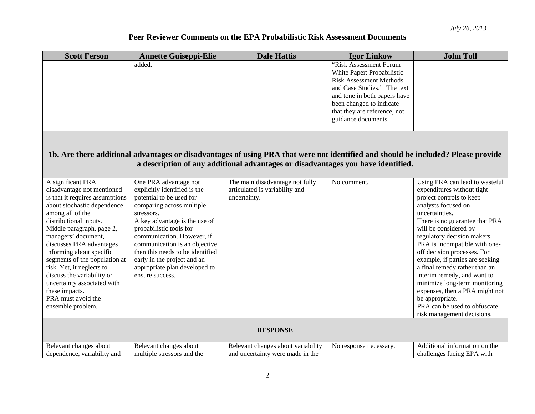| <b>Scott Ferson</b>                                     | <b>Annette Guiseppi-Elie</b>                     | <b>Dale Hattis</b>                                                                                                                | <b>Igor Linkow</b>                                       | <b>John Toll</b>                                             |
|---------------------------------------------------------|--------------------------------------------------|-----------------------------------------------------------------------------------------------------------------------------------|----------------------------------------------------------|--------------------------------------------------------------|
|                                                         | added.                                           |                                                                                                                                   | "Risk Assessment Forum                                   |                                                              |
|                                                         |                                                  |                                                                                                                                   | White Paper: Probabilistic                               |                                                              |
|                                                         |                                                  |                                                                                                                                   | <b>Risk Assessment Methods</b>                           |                                                              |
|                                                         |                                                  |                                                                                                                                   | and Case Studies." The text                              |                                                              |
|                                                         |                                                  |                                                                                                                                   | and tone in both papers have                             |                                                              |
|                                                         |                                                  |                                                                                                                                   | been changed to indicate<br>that they are reference, not |                                                              |
|                                                         |                                                  |                                                                                                                                   | guidance documents.                                      |                                                              |
|                                                         |                                                  |                                                                                                                                   |                                                          |                                                              |
|                                                         |                                                  |                                                                                                                                   |                                                          |                                                              |
|                                                         |                                                  |                                                                                                                                   |                                                          |                                                              |
|                                                         |                                                  | 1b. Are there additional advantages or disadvantages of using PRA that were not identified and should be included? Please provide |                                                          |                                                              |
|                                                         |                                                  | a description of any additional advantages or disadvantages you have identified.                                                  |                                                          |                                                              |
|                                                         |                                                  |                                                                                                                                   |                                                          |                                                              |
| A significant PRA                                       | One PRA advantage not                            | The main disadvantage not fully                                                                                                   | No comment.                                              | Using PRA can lead to wasteful                               |
| disadvantage not mentioned                              | explicitly identified is the                     | articulated is variability and                                                                                                    |                                                          | expenditures without tight                                   |
| is that it requires assumptions                         | potential to be used for                         | uncertainty.                                                                                                                      |                                                          | project controls to keep                                     |
| about stochastic dependence                             | comparing across multiple                        |                                                                                                                                   |                                                          | analysts focused on                                          |
| among all of the                                        | stressors.                                       |                                                                                                                                   |                                                          | uncertainties.                                               |
| distributional inputs.                                  | A key advantage is the use of                    |                                                                                                                                   |                                                          | There is no guarantee that PRA                               |
| Middle paragraph, page 2,                               | probabilistic tools for                          |                                                                                                                                   |                                                          | will be considered by                                        |
| managers' document,                                     | communication. However, if                       |                                                                                                                                   |                                                          | regulatory decision makers.                                  |
| discusses PRA advantages                                | communication is an objective,                   |                                                                                                                                   |                                                          | PRA is incompatible with one-                                |
| informing about specific                                | then this needs to be identified                 |                                                                                                                                   |                                                          | off decision processes. For                                  |
| segments of the population at                           | early in the project and an                      |                                                                                                                                   |                                                          | example, if parties are seeking                              |
| risk. Yet, it neglects to<br>discuss the variability or | appropriate plan developed to<br>ensure success. |                                                                                                                                   |                                                          | a final remedy rather than an<br>interim remedy, and want to |
| uncertainty associated with                             |                                                  |                                                                                                                                   |                                                          | minimize long-term monitoring                                |
| these impacts.                                          |                                                  |                                                                                                                                   |                                                          | expenses, then a PRA might not                               |
| PRA must avoid the                                      |                                                  |                                                                                                                                   |                                                          | be appropriate.                                              |
| ensemble problem.                                       |                                                  |                                                                                                                                   |                                                          | PRA can be used to obfuscate                                 |
|                                                         |                                                  |                                                                                                                                   |                                                          | risk management decisions.                                   |
|                                                         |                                                  |                                                                                                                                   |                                                          |                                                              |
|                                                         |                                                  | <b>RESPONSE</b>                                                                                                                   |                                                          |                                                              |
| Relevant changes about                                  | Relevant changes about                           | Relevant changes about variability                                                                                                | No response necessary.                                   | Additional information on the                                |
| dependence, variability and                             | multiple stressors and the                       | and uncertainty were made in the                                                                                                  |                                                          | challenges facing EPA with                                   |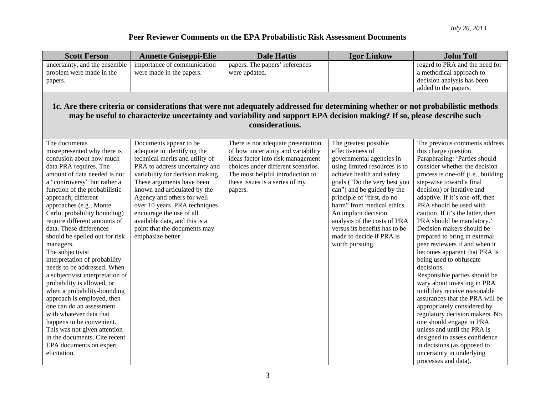| <b>Scott Ferson</b>                                                                                                                                                                                                                                                           | <b>Annette Guiseppi-Elie</b>                          | <b>Dale Hattis</b>                                                       | <b>Igor Linkow</b>                        | <b>John Toll</b>                                             |  |
|-------------------------------------------------------------------------------------------------------------------------------------------------------------------------------------------------------------------------------------------------------------------------------|-------------------------------------------------------|--------------------------------------------------------------------------|-------------------------------------------|--------------------------------------------------------------|--|
| uncertainty, and the ensemble                                                                                                                                                                                                                                                 | importance of communication                           | papers. The papers' references                                           |                                           | regard to PRA and the need for                               |  |
| problem were made in the                                                                                                                                                                                                                                                      | were made in the papers.                              | were updated.                                                            |                                           | a methodical approach to                                     |  |
| papers.                                                                                                                                                                                                                                                                       |                                                       |                                                                          |                                           | decision analysis has been                                   |  |
|                                                                                                                                                                                                                                                                               |                                                       |                                                                          |                                           | added to the papers.                                         |  |
| 1c. Are there criteria or considerations that were not adequately addressed for determining whether or not probabilistic methods<br>may be useful to characterize uncertainty and variability and support EPA decision making? If so, please describe such<br>considerations. |                                                       |                                                                          |                                           |                                                              |  |
| The documents<br>misrepresented why there is                                                                                                                                                                                                                                  | Documents appear to be<br>adequate in identifying the | There is not adequate presentation<br>of how uncertainty and variability | The greatest possible<br>effectiveness of | The previous comments address<br>this charge question.       |  |
| confusion about how much                                                                                                                                                                                                                                                      | technical merits and utility of                       | ideas factor into risk management                                        | governmental agencies in                  | Paraphrasing: 'Parties should                                |  |
| data PRA requires. The                                                                                                                                                                                                                                                        | PRA to address uncertainty and                        | choices under different scenarios.                                       | using limited resources is to             | consider whether the decision                                |  |
| amount of data needed is not                                                                                                                                                                                                                                                  | variability for decision making.                      | The most helpful introduction to                                         | achieve health and safety                 | process is one-off (i.e., building                           |  |
| a "controversy" but rather a                                                                                                                                                                                                                                                  | These arguments have been                             | these issues is a series of my                                           | goals ("Do the very best you              | step-wise toward a final                                     |  |
| function of the probabilistic                                                                                                                                                                                                                                                 | known and articulated by the                          | papers.                                                                  | can") and be guided by the                | decision) or iterative and                                   |  |
| approach; different                                                                                                                                                                                                                                                           | Agency and others for well                            |                                                                          | principle of "first, do no                | adaptive. If it's one-off, then                              |  |
| approaches (e.g., Monte                                                                                                                                                                                                                                                       | over 10 years. PRA techniques                         |                                                                          | harm" from medical ethics.                | PRA should be used with                                      |  |
| Carlo, probability bounding)                                                                                                                                                                                                                                                  | encourage the use of all                              |                                                                          | An implicit decision                      | caution. If it's the latter, then                            |  |
| require different amounts of                                                                                                                                                                                                                                                  | available data, and this is a                         |                                                                          | analysis of the costs of PRA              | PRA should be mandatory.'                                    |  |
| data. These differences                                                                                                                                                                                                                                                       | point that the documents may                          |                                                                          | versus its benefits has to be             | Decision makers should be                                    |  |
| should be spelled out for risk                                                                                                                                                                                                                                                | emphasize better.                                     |                                                                          | made to decide if PRA is                  | prepared to bring in external                                |  |
| managers.                                                                                                                                                                                                                                                                     |                                                       |                                                                          | worth pursuing.                           | peer reviewers if and when it                                |  |
| The subjectivist                                                                                                                                                                                                                                                              |                                                       |                                                                          |                                           | becomes apparent that PRA is                                 |  |
| interpretation of probability                                                                                                                                                                                                                                                 |                                                       |                                                                          |                                           | being used to obfuscate                                      |  |
| needs to be addressed. When                                                                                                                                                                                                                                                   |                                                       |                                                                          |                                           | decisions.                                                   |  |
| a subjectivist interpretation of<br>probability is allowed, or                                                                                                                                                                                                                |                                                       |                                                                          |                                           | Responsible parties should be<br>wary about investing in PRA |  |
| when a probability-bounding                                                                                                                                                                                                                                                   |                                                       |                                                                          |                                           | until they receive reasonable                                |  |
| approach is employed, then                                                                                                                                                                                                                                                    |                                                       |                                                                          |                                           | assurances that the PRA will be                              |  |
| one can do an assessment                                                                                                                                                                                                                                                      |                                                       |                                                                          |                                           | appropriately considered by                                  |  |
| with whatever data that                                                                                                                                                                                                                                                       |                                                       |                                                                          |                                           | regulatory decision makers. No                               |  |
| happens to be convenient.                                                                                                                                                                                                                                                     |                                                       |                                                                          |                                           | one should engage in PRA                                     |  |
| This was not given attention                                                                                                                                                                                                                                                  |                                                       |                                                                          |                                           | unless and until the PRA is                                  |  |
| in the documents. Cite recent                                                                                                                                                                                                                                                 |                                                       |                                                                          |                                           | designed to assess confidence                                |  |
| EPA documents on expert                                                                                                                                                                                                                                                       |                                                       |                                                                          |                                           | in decisions (as opposed to                                  |  |
| elicitation.                                                                                                                                                                                                                                                                  |                                                       |                                                                          |                                           | uncertainty in underlying                                    |  |
|                                                                                                                                                                                                                                                                               |                                                       |                                                                          |                                           | processes and data).                                         |  |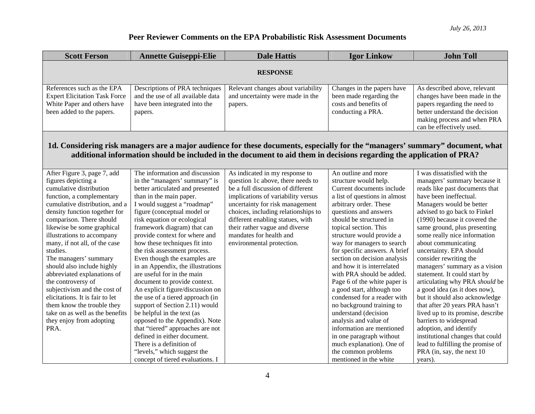| <b>Scott Ferson</b>                                                                                                                                                                                                                                                                                                                                                                                                                                                                                                                                                                                    | <b>Annette Guiseppi-Elie</b>                                                                                                                                                                                                                                                                                                                                                                                                                                                                                                                                                                                                                                                                                                                                                                            | <b>Dale Hattis</b>                                                                                                                                                                                                                                                                                                                                     | <b>Igor Linkow</b>                                                                                                                                                                                                                                                                                                                                                                                                                                                                                                                                                                                                                                                                               | <b>John Toll</b>                                                                                                                                                                                                                                                                                                                                                                                                                                                                                                                                                                                                                                                                                                                                                        |  |
|--------------------------------------------------------------------------------------------------------------------------------------------------------------------------------------------------------------------------------------------------------------------------------------------------------------------------------------------------------------------------------------------------------------------------------------------------------------------------------------------------------------------------------------------------------------------------------------------------------|---------------------------------------------------------------------------------------------------------------------------------------------------------------------------------------------------------------------------------------------------------------------------------------------------------------------------------------------------------------------------------------------------------------------------------------------------------------------------------------------------------------------------------------------------------------------------------------------------------------------------------------------------------------------------------------------------------------------------------------------------------------------------------------------------------|--------------------------------------------------------------------------------------------------------------------------------------------------------------------------------------------------------------------------------------------------------------------------------------------------------------------------------------------------------|--------------------------------------------------------------------------------------------------------------------------------------------------------------------------------------------------------------------------------------------------------------------------------------------------------------------------------------------------------------------------------------------------------------------------------------------------------------------------------------------------------------------------------------------------------------------------------------------------------------------------------------------------------------------------------------------------|-------------------------------------------------------------------------------------------------------------------------------------------------------------------------------------------------------------------------------------------------------------------------------------------------------------------------------------------------------------------------------------------------------------------------------------------------------------------------------------------------------------------------------------------------------------------------------------------------------------------------------------------------------------------------------------------------------------------------------------------------------------------------|--|
| <b>RESPONSE</b>                                                                                                                                                                                                                                                                                                                                                                                                                                                                                                                                                                                        |                                                                                                                                                                                                                                                                                                                                                                                                                                                                                                                                                                                                                                                                                                                                                                                                         |                                                                                                                                                                                                                                                                                                                                                        |                                                                                                                                                                                                                                                                                                                                                                                                                                                                                                                                                                                                                                                                                                  |                                                                                                                                                                                                                                                                                                                                                                                                                                                                                                                                                                                                                                                                                                                                                                         |  |
| References such as the EPA<br><b>Expert Elicitation Task Force</b><br>White Paper and others have<br>been added to the papers.                                                                                                                                                                                                                                                                                                                                                                                                                                                                         | Descriptions of PRA techniques<br>and the use of all available data<br>have been integrated into the<br>papers.                                                                                                                                                                                                                                                                                                                                                                                                                                                                                                                                                                                                                                                                                         | Relevant changes about variability<br>and uncertainty were made in the<br>papers.                                                                                                                                                                                                                                                                      | Changes in the papers have<br>been made regarding the<br>costs and benefits of<br>conducting a PRA.                                                                                                                                                                                                                                                                                                                                                                                                                                                                                                                                                                                              | As described above, relevant<br>changes have been made in the<br>papers regarding the need to<br>better understand the decision<br>making process and when PRA<br>can be effectively used.                                                                                                                                                                                                                                                                                                                                                                                                                                                                                                                                                                              |  |
| 1d. Considering risk managers are a major audience for these documents, especially for the "managers' summary" document, what<br>additional information should be included in the document to aid them in decisions regarding the application of PRA?                                                                                                                                                                                                                                                                                                                                                  |                                                                                                                                                                                                                                                                                                                                                                                                                                                                                                                                                                                                                                                                                                                                                                                                         |                                                                                                                                                                                                                                                                                                                                                        |                                                                                                                                                                                                                                                                                                                                                                                                                                                                                                                                                                                                                                                                                                  |                                                                                                                                                                                                                                                                                                                                                                                                                                                                                                                                                                                                                                                                                                                                                                         |  |
| After Figure 3, page 7, add<br>figures depicting a<br>cumulative distribution<br>function, a complementary<br>cumulative distribution, and a<br>density function together for<br>comparison. There should<br>likewise be some graphical<br>illustrations to accompany<br>many, if not all, of the case<br>studies.<br>The managers' summary<br>should also include highly<br>abbreviated explanations of<br>the controversy of<br>subjectivism and the cost of<br>elicitations. It is fair to let<br>them know the trouble they<br>take on as well as the benefits<br>they enjoy from adopting<br>PRA. | The information and discussion<br>in the "managers' summary" is<br>better articulated and presented<br>than in the main paper.<br>I would suggest a "roadmap"<br>figure (conceptual model or<br>risk equation or ecological<br>framework diagram) that can<br>provide context for where and<br>how these techniques fit into<br>the risk assessment process.<br>Even though the examples are<br>in an Appendix, the illustrations<br>are useful for in the main<br>document to provide context.<br>An explicit figure/discussion on<br>the use of a tiered approach (in<br>support of Section 2.11) would<br>be helpful in the text (as<br>opposed to the Appendix). Note<br>that "tiered" approaches are not<br>defined in either document.<br>There is a definition of<br>"levels," which suggest the | As indicated in my response to<br>question 1c above, there needs to<br>be a full discussion of different<br>implications of variability versus<br>uncertainty for risk management<br>choices, including relationships to<br>different enabling statues, with<br>their rather vague and diverse<br>mandates for health and<br>environmental protection. | An outline and more<br>structure would help.<br>Current documents include<br>a list of questions in almost<br>arbitrary order. These<br>questions and answers<br>should be structured in<br>topical section. This<br>structure would provide a<br>way for managers to search<br>for specific answers. A brief<br>section on decision analysis<br>and how it is interrelated<br>with PRA should be added.<br>Page 6 of the white paper is<br>a good start, although too<br>condensed for a reader with<br>no background training to<br>understand (decision<br>analysis and value of<br>information are mentioned<br>in one paragraph without<br>much explanation). One of<br>the common problems | I was dissatisfied with the<br>managers' summary because it<br>reads like past documents that<br>have been ineffectual.<br>Managers would be better<br>advised to go back to Finkel<br>(1990) because it covered the<br>same ground, plus presenting<br>some really nice information<br>about communicating<br>uncertainty. EPA should<br>consider rewriting the<br>managers' summary as a vision<br>statement. It could start by<br>articulating why PRA should be<br>a good idea (as it does now),<br>but it should also acknowledge<br>that after 20 years PRA hasn't<br>lived up to its promise, describe<br>barriers to widespread<br>adoption, and identify<br>institutional changes that could<br>lead to fulfilling the promise of<br>PRA (in, say, the next 10 |  |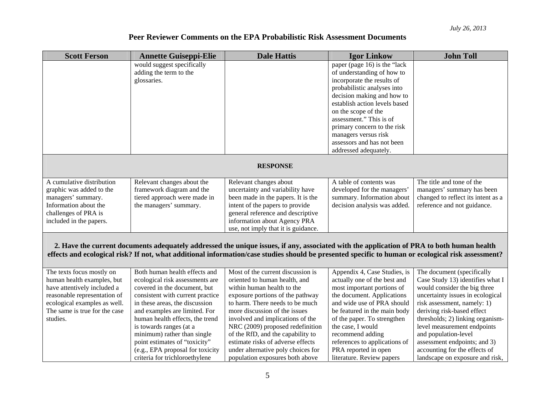| <b>Scott Ferson</b>           | <b>Annette Guiseppi-Elie</b>     | <b>Dale Hattis</b>                                                                                                                                 | <b>Igor Linkow</b>            | <b>John Toll</b>                   |
|-------------------------------|----------------------------------|----------------------------------------------------------------------------------------------------------------------------------------------------|-------------------------------|------------------------------------|
|                               | would suggest specifically       |                                                                                                                                                    | paper (page 16) is the "lack  |                                    |
|                               | adding the term to the           |                                                                                                                                                    | of understanding of how to    |                                    |
|                               | glossaries.                      |                                                                                                                                                    | incorporate the results of    |                                    |
|                               |                                  |                                                                                                                                                    | probabilistic analyses into   |                                    |
|                               |                                  |                                                                                                                                                    | decision making and how to    |                                    |
|                               |                                  |                                                                                                                                                    | establish action levels based |                                    |
|                               |                                  |                                                                                                                                                    | on the scope of the           |                                    |
|                               |                                  |                                                                                                                                                    | assessment." This is of       |                                    |
|                               |                                  |                                                                                                                                                    | primary concern to the risk   |                                    |
|                               |                                  |                                                                                                                                                    | managers versus risk          |                                    |
|                               |                                  |                                                                                                                                                    | assessors and has not been    |                                    |
|                               |                                  |                                                                                                                                                    | addressed adequately.         |                                    |
|                               |                                  |                                                                                                                                                    |                               |                                    |
|                               |                                  | <b>RESPONSE</b>                                                                                                                                    |                               |                                    |
| A cumulative distribution     | Relevant changes about the       | Relevant changes about                                                                                                                             | A table of contents was       | The title and tone of the          |
| graphic was added to the      | framework diagram and the        | uncertainty and variability have                                                                                                                   | developed for the managers'   | managers' summary has been         |
| managers' summary.            | tiered approach were made in     | been made in the papers. It is the                                                                                                                 | summary. Information about    | changed to reflect its intent as a |
| Information about the         | the managers' summary.           | intent of the papers to provide                                                                                                                    | decision analysis was added.  | reference and not guidance.        |
| challenges of PRA is          |                                  | general reference and descriptive                                                                                                                  |                               |                                    |
| included in the papers.       |                                  | information about Agency PRA                                                                                                                       |                               |                                    |
|                               |                                  | use, not imply that it is guidance.                                                                                                                |                               |                                    |
|                               |                                  |                                                                                                                                                    |                               |                                    |
|                               |                                  | 2. Have the current documents adequately addressed the unique issues, if any, associated with the application of PRA to both human health          |                               |                                    |
|                               |                                  | effects and ecological risk? If not, what additional information/case studies should be presented specific to human or ecological risk assessment? |                               |                                    |
|                               |                                  |                                                                                                                                                    |                               |                                    |
| The texts focus mostly on     | Both human health effects and    | Most of the current discussion is                                                                                                                  | Appendix 4, Case Studies, is  | The document (specifically         |
| human health examples, but    | ecological risk assessments are  | oriented to human health, and                                                                                                                      | actually one of the best and  | Case Study 13) identifies what I   |
| have attentively included a   | covered in the document, but     | within human health to the                                                                                                                         | most important portions of    | would consider the big three       |
| reasonable representation of  | consistent with current practice | exposure portions of the pathway                                                                                                                   | the document. Applications    | uncertainty issues in ecological   |
| ecological examples as well.  | in these areas, the discussion   | to harm. There needs to be much                                                                                                                    | and wide use of PRA should    | risk assessment, namely: 1)        |
| The same is true for the case | and examples are limited. For    | more discussion of the issues                                                                                                                      | be featured in the main body  | deriving risk-based effect         |
| studies.                      | human health effects, the trend  | involved and implications of the                                                                                                                   | of the paper. To strengthen   | thresholds; 2) linking organism-   |
|                               | is towards ranges (at a          | NRC (2009) proposed redefinition                                                                                                                   | the case, I would             | level measurement endpoints        |
|                               | minimum) rather than single      | of the RfD, and the capability to                                                                                                                  | recommend adding              | and population-level               |
|                               | point estimates of "toxicity"    | estimate risks of adverse effects                                                                                                                  | references to applications of | assessment endpoints; and 3)       |
|                               | (e.g., EPA proposal for toxicity | under alternative poly choices for                                                                                                                 | PRA reported in open          | accounting for the effects of      |
|                               | criteria for trichloroethylene   | population exposures both above                                                                                                                    | literature. Review papers     | landscape on exposure and risk,    |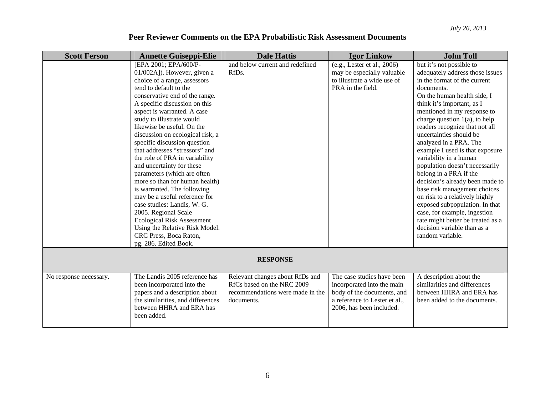| <b>Scott Ferson</b>    | <b>Annette Guiseppi-Elie</b>      | <b>Dale Hattis</b>               | <b>Igor Linkow</b>            | <b>John Toll</b>                  |
|------------------------|-----------------------------------|----------------------------------|-------------------------------|-----------------------------------|
|                        | [EPA 2001; EPA/600/P-             | and below current and redefined  | (e.g., Lester et al., 2006)   | but it's not possible to          |
|                        | 01/002A]). However, given a       | RfDs.                            | may be especially valuable    | adequately address those issues   |
|                        | choice of a range, assessors      |                                  | to illustrate a wide use of   | in the format of the current      |
|                        | tend to default to the            |                                  | PRA in the field.             | documents.                        |
|                        | conservative end of the range.    |                                  |                               | On the human health side, I       |
|                        | A specific discussion on this     |                                  |                               | think it's important, as I        |
|                        | aspect is warranted. A case       |                                  |                               | mentioned in my response to       |
|                        | study to illustrate would         |                                  |                               | charge question $1(a)$ , to help  |
|                        | likewise be useful. On the        |                                  |                               | readers recognize that not all    |
|                        | discussion on ecological risk, a  |                                  |                               | uncertainties should be           |
|                        | specific discussion question      |                                  |                               | analyzed in a PRA. The            |
|                        | that addresses "stressors" and    |                                  |                               | example I used is that exposure   |
|                        | the role of PRA in variability    |                                  |                               | variability in a human            |
|                        | and uncertainty for these         |                                  |                               | population doesn't necessarily    |
|                        | parameters (which are often       |                                  |                               | belong in a PRA if the            |
|                        | more so than for human health)    |                                  |                               | decision's already been made to   |
|                        | is warranted. The following       |                                  |                               | base risk management choices      |
|                        | may be a useful reference for     |                                  |                               | on risk to a relatively highly    |
|                        | case studies: Landis, W. G.       |                                  |                               | exposed subpopulation. In that    |
|                        | 2005. Regional Scale              |                                  |                               | case, for example, ingestion      |
|                        | <b>Ecological Risk Assessment</b> |                                  |                               | rate might better be treated as a |
|                        | Using the Relative Risk Model.    |                                  |                               | decision variable than as a       |
|                        | CRC Press, Boca Raton,            |                                  |                               | random variable.                  |
|                        | pg. 286. Edited Book.             |                                  |                               |                                   |
|                        |                                   | <b>RESPONSE</b>                  |                               |                                   |
|                        |                                   |                                  |                               |                                   |
| No response necessary. | The Landis 2005 reference has     | Relevant changes about RfDs and  | The case studies have been    | A description about the           |
|                        | been incorporated into the        | RfCs based on the NRC 2009       | incorporated into the main    | similarities and differences      |
|                        | papers and a description about    | recommendations were made in the | body of the documents, and    | between HHRA and ERA has          |
|                        | the similarities, and differences | documents.                       | a reference to Lester et al., | been added to the documents.      |
|                        | between HHRA and ERA has          |                                  | 2006, has been included.      |                                   |
|                        | been added.                       |                                  |                               |                                   |
|                        |                                   |                                  |                               |                                   |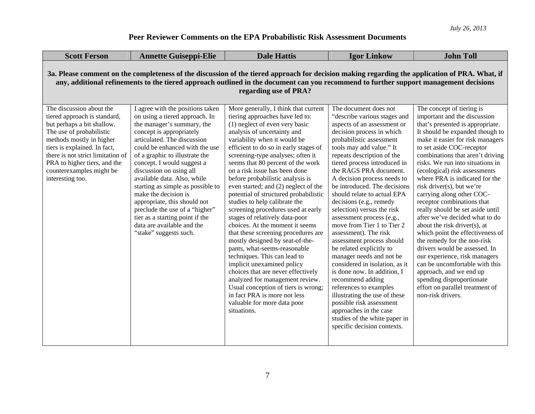| <b>Scott Ferson</b>                                                                                                                                                                                                                                                                                              | <b>Annette Guiseppi-Elie</b>                                                                                                                                                                                                                                                                                                                                                                                                                                                                                                                      | <b>Dale Hattis</b>                                                                                                                                                                                                                                                                                                                                                                                                                                                                                                                                                                                                                                                                                                                                                                                                                                                                                                                                                  | <b>Igor Linkow</b>                                                                                                                                                                                                                                                                                                                                                                                                                                                                                                                                                                                                                                                                                                                                                                                                                                                      | <b>John Toll</b>                                                                                                                                                                                                                                                                                                                                                                                                                                                                                                                                                                                                                                                                                                                                                                                                                  |  |
|------------------------------------------------------------------------------------------------------------------------------------------------------------------------------------------------------------------------------------------------------------------------------------------------------------------|---------------------------------------------------------------------------------------------------------------------------------------------------------------------------------------------------------------------------------------------------------------------------------------------------------------------------------------------------------------------------------------------------------------------------------------------------------------------------------------------------------------------------------------------------|---------------------------------------------------------------------------------------------------------------------------------------------------------------------------------------------------------------------------------------------------------------------------------------------------------------------------------------------------------------------------------------------------------------------------------------------------------------------------------------------------------------------------------------------------------------------------------------------------------------------------------------------------------------------------------------------------------------------------------------------------------------------------------------------------------------------------------------------------------------------------------------------------------------------------------------------------------------------|-------------------------------------------------------------------------------------------------------------------------------------------------------------------------------------------------------------------------------------------------------------------------------------------------------------------------------------------------------------------------------------------------------------------------------------------------------------------------------------------------------------------------------------------------------------------------------------------------------------------------------------------------------------------------------------------------------------------------------------------------------------------------------------------------------------------------------------------------------------------------|-----------------------------------------------------------------------------------------------------------------------------------------------------------------------------------------------------------------------------------------------------------------------------------------------------------------------------------------------------------------------------------------------------------------------------------------------------------------------------------------------------------------------------------------------------------------------------------------------------------------------------------------------------------------------------------------------------------------------------------------------------------------------------------------------------------------------------------|--|
| 3a. Please comment on the completeness of the discussion of the tiered approach for decision making regarding the application of PRA. What, if<br>any, additional refinements to the tiered approach outlined in the document can you recommend to further support management decisions<br>regarding use of PRA? |                                                                                                                                                                                                                                                                                                                                                                                                                                                                                                                                                   |                                                                                                                                                                                                                                                                                                                                                                                                                                                                                                                                                                                                                                                                                                                                                                                                                                                                                                                                                                     |                                                                                                                                                                                                                                                                                                                                                                                                                                                                                                                                                                                                                                                                                                                                                                                                                                                                         |                                                                                                                                                                                                                                                                                                                                                                                                                                                                                                                                                                                                                                                                                                                                                                                                                                   |  |
| The discussion about the<br>tiered approach is standard,<br>but perhaps a bit shallow.<br>The use of probabilistic<br>methods mostly in higher<br>tiers is explained. In fact,<br>there is not strict limitation of<br>PRA to higher tiers, and the<br>counterexamples might be<br>interesting too.              | I agree with the positions taken<br>on using a tiered approach. In<br>the manager's summary, the<br>concept is appropriately<br>articulated. The discussion<br>could be enhanced with the use<br>of a graphic to illustrate the<br>concept. I would suggest a<br>discussion on using all<br>available data. Also, while<br>starting as simple as possible to<br>make the decision is<br>appropriate, this should not<br>preclude the use of a "higher"<br>tier as a starting point if the<br>data are available and the<br>"stake" suggests such. | More generally, I think that current<br>tiering approaches have led to:<br>(1) neglect of even very basic<br>analysis of uncertainty and<br>variability when it would be<br>efficient to do so in early stages of<br>screening-type analyses; often it<br>seems that 80 percent of the work<br>on a risk issue has been done<br>before probabilistic analysis is<br>even started; and (2) neglect of the<br>potential of structured probabilistic<br>studies to help calibrate the<br>screening procedures used at early<br>stages of relatively data-poor<br>choices. At the moment it seems<br>that these screening procedures are<br>mostly designed by seat-of-the-<br>pants, what-seems-reasonable<br>techniques. This can lead to<br>implicit unexamined policy<br>choices that are never effectively<br>analyzed for management review.<br>Usual conception of tiers is wrong;<br>in fact PRA is more not less<br>valuable for more data poor<br>situations. | The document does not<br>"describe various stages and<br>aspects of an assessment or<br>decision process in which<br>probabilistic assessment<br>tools may add value." It<br>repeats description of the<br>tiered process introduced in<br>the RAGS PRA document.<br>A decision process needs to<br>be introduced. The decisions<br>should relate to actual EPA<br>decisions (e.g., remedy<br>selection) versus the risk<br>assessment process (e.g.,<br>move from Tier 1 to Tier 2<br>assessment). The risk<br>assessment process should<br>be related explicitly to<br>manager needs and not be<br>considered in isolation, as it<br>is done now. In addition, I<br>recommend adding<br>references to examples<br>illustrating the use of these<br>possible risk assessment<br>approaches in the case<br>studies of the white paper in<br>specific decision contexts. | The concept of tiering is<br>important and the discussion<br>that's presented is appropriate.<br>It should be expanded though to<br>make it easier for risk managers<br>to set aside COC-receptor<br>combinations that aren't driving<br>risks. We run into situations in<br>(ecological) risk assessments<br>where PRA is indicated for the<br>risk driver(s), but we're<br>carrying along other COC-<br>receptor combinations that<br>really should be set aside until<br>after we've decided what to do<br>about the risk driver(s), at<br>which point the effectiveness of<br>the remedy for the non-risk<br>drivers would be assessed. In<br>our experience, risk managers<br>can be uncomfortable with this<br>approach, and we end up<br>spending disproportionate<br>effort on parallel treatment of<br>non-risk drivers. |  |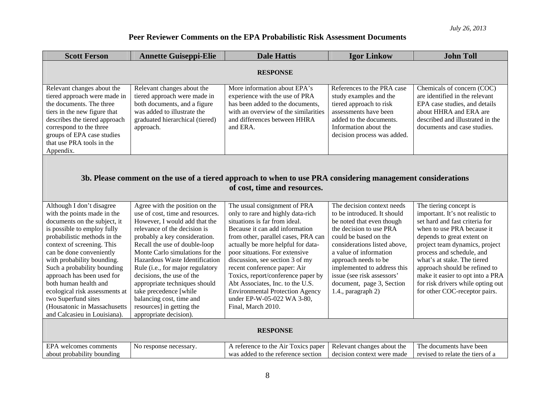| <b>Scott Ferson</b>                                                                                                                                                                                                                                                                                                                                                                                                                                            | <b>Annette Guiseppi-Elie</b>                                                                                                                                                                                                                                                                                                                                                                                                                                                              | <b>Dale Hattis</b>                                                                                                                                                                                                                                                                                                                                                                                                                                                                             | <b>Igor Linkow</b>                                                                                                                                                                                                                                                                                                                           | <b>John Toll</b>                                                                                                                                                                                                                                                                                                                                                                                  |  |  |
|----------------------------------------------------------------------------------------------------------------------------------------------------------------------------------------------------------------------------------------------------------------------------------------------------------------------------------------------------------------------------------------------------------------------------------------------------------------|-------------------------------------------------------------------------------------------------------------------------------------------------------------------------------------------------------------------------------------------------------------------------------------------------------------------------------------------------------------------------------------------------------------------------------------------------------------------------------------------|------------------------------------------------------------------------------------------------------------------------------------------------------------------------------------------------------------------------------------------------------------------------------------------------------------------------------------------------------------------------------------------------------------------------------------------------------------------------------------------------|----------------------------------------------------------------------------------------------------------------------------------------------------------------------------------------------------------------------------------------------------------------------------------------------------------------------------------------------|---------------------------------------------------------------------------------------------------------------------------------------------------------------------------------------------------------------------------------------------------------------------------------------------------------------------------------------------------------------------------------------------------|--|--|
|                                                                                                                                                                                                                                                                                                                                                                                                                                                                | <b>RESPONSE</b>                                                                                                                                                                                                                                                                                                                                                                                                                                                                           |                                                                                                                                                                                                                                                                                                                                                                                                                                                                                                |                                                                                                                                                                                                                                                                                                                                              |                                                                                                                                                                                                                                                                                                                                                                                                   |  |  |
| Relevant changes about the<br>tiered approach were made in<br>the documents. The three<br>tiers in the new figure that<br>describes the tiered approach<br>correspond to the three<br>groups of EPA case studies<br>that use PRA tools in the<br>Appendix.                                                                                                                                                                                                     | Relevant changes about the<br>tiered approach were made in<br>both documents, and a figure<br>was added to illustrate the<br>graduated hierarchical (tiered)<br>approach.                                                                                                                                                                                                                                                                                                                 | More information about EPA's<br>experience with the use of PRA<br>has been added to the documents,<br>with an overview of the similarities<br>and differences between HHRA<br>and ERA.                                                                                                                                                                                                                                                                                                         | References to the PRA case<br>study examples and the<br>tiered approach to risk<br>assessments have been<br>added to the documents.<br>Information about the<br>decision process was added.                                                                                                                                                  | Chemicals of concern (COC)<br>are identified in the relevant<br>EPA case studies, and details<br>about HHRA and ERA are<br>described and illustrated in the<br>documents and case studies.                                                                                                                                                                                                        |  |  |
| 3b. Please comment on the use of a tiered approach to when to use PRA considering management considerations<br>of cost, time and resources.                                                                                                                                                                                                                                                                                                                    |                                                                                                                                                                                                                                                                                                                                                                                                                                                                                           |                                                                                                                                                                                                                                                                                                                                                                                                                                                                                                |                                                                                                                                                                                                                                                                                                                                              |                                                                                                                                                                                                                                                                                                                                                                                                   |  |  |
| Although I don't disagree<br>with the points made in the<br>documents on the subject, it<br>is possible to employ fully<br>probabilistic methods in the<br>context of screening. This<br>can be done conveniently<br>with probability bounding.<br>Such a probability bounding<br>approach has been used for<br>both human health and<br>ecological risk assessments at<br>two Superfund sites<br>(Housatonic in Massachusetts<br>and Calcasieu in Louisiana). | Agree with the position on the<br>use of cost, time and resources.<br>However, I would add that the<br>relevance of the decision is<br>probably a key consideration.<br>Recall the use of double-loop<br>Monte Carlo simulations for the<br>Hazardous Waste Identification<br>Rule (i.e., for major regulatory<br>decisions, the use of the<br>appropriate techniques should<br>take precedence [while<br>balancing cost, time and<br>resources] in getting the<br>appropriate decision). | The usual consignment of PRA<br>only to rare and highly data-rich<br>situations is far from ideal.<br>Because it can add information<br>from other, parallel cases, PRA can<br>actually be more helpful for data-<br>poor situations. For extensive<br>discussion, see section 3 of my<br>recent conference paper: Air<br>Toxics, report/conference paper by<br>Abt Associates, Inc. to the U.S.<br><b>Environmental Protection Agency</b><br>under EP-W-05-022 WA 3-80,<br>Final, March 2010. | The decision context needs<br>to be introduced. It should<br>be noted that even though<br>the decision to use PRA<br>could be based on the<br>considerations listed above,<br>a value of information<br>approach needs to be<br>implemented to address this<br>issue (see risk assessors'<br>document, page 3, Section<br>1.4., paragraph 2) | The tiering concept is<br>important. It's not realistic to<br>set hard and fast criteria for<br>when to use PRA because it<br>depends to great extent on<br>project team dynamics, project<br>process and schedule, and<br>what's at stake. The tiered<br>approach should be refined to<br>make it easier to opt into a PRA<br>for risk drivers while opting out<br>for other COC-receptor pairs. |  |  |
| <b>RESPONSE</b>                                                                                                                                                                                                                                                                                                                                                                                                                                                |                                                                                                                                                                                                                                                                                                                                                                                                                                                                                           |                                                                                                                                                                                                                                                                                                                                                                                                                                                                                                |                                                                                                                                                                                                                                                                                                                                              |                                                                                                                                                                                                                                                                                                                                                                                                   |  |  |
| EPA welcomes comments<br>about probability bounding                                                                                                                                                                                                                                                                                                                                                                                                            | No response necessary.                                                                                                                                                                                                                                                                                                                                                                                                                                                                    | A reference to the Air Toxics paper<br>was added to the reference section                                                                                                                                                                                                                                                                                                                                                                                                                      | Relevant changes about the<br>decision context were made                                                                                                                                                                                                                                                                                     | The documents have been<br>revised to relate the tiers of a                                                                                                                                                                                                                                                                                                                                       |  |  |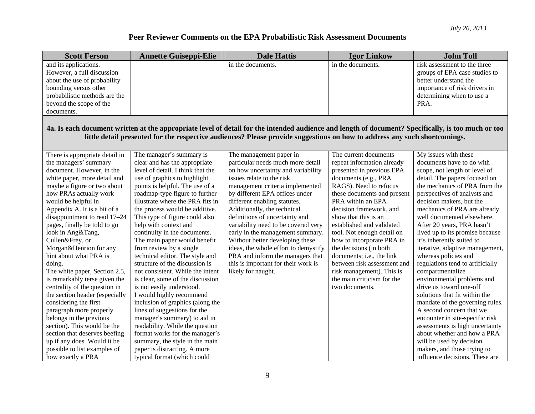| <b>Scott Ferson</b>            | <b>Annette Guiseppi-Elie</b>                                                                                                                                                                                                                                                    | <b>Dale Hattis</b>                   | <b>Igor Linkow</b>          | <b>John Toll</b>                 |  |  |
|--------------------------------|---------------------------------------------------------------------------------------------------------------------------------------------------------------------------------------------------------------------------------------------------------------------------------|--------------------------------------|-----------------------------|----------------------------------|--|--|
| and its applications.          |                                                                                                                                                                                                                                                                                 | in the documents.                    | in the documents.           | risk assessment to the three     |  |  |
| However, a full discussion     |                                                                                                                                                                                                                                                                                 |                                      |                             | groups of EPA case studies to    |  |  |
| about the use of probability   |                                                                                                                                                                                                                                                                                 |                                      |                             | better understand the            |  |  |
| bounding versus other          |                                                                                                                                                                                                                                                                                 |                                      |                             | importance of risk drivers in    |  |  |
| probabilistic methods are the  |                                                                                                                                                                                                                                                                                 |                                      |                             | determining when to use a        |  |  |
| beyond the scope of the        |                                                                                                                                                                                                                                                                                 |                                      |                             | PRA.                             |  |  |
| documents.                     |                                                                                                                                                                                                                                                                                 |                                      |                             |                                  |  |  |
|                                | 4a. Is each document written at the appropriate level of detail for the intended audience and length of document? Specifically, is too much or too<br>little detail presented for the respective audiences? Please provide suggestions on how to address any such shortcomings. |                                      |                             |                                  |  |  |
| There is appropriate detail in | The manager's summary is                                                                                                                                                                                                                                                        | The management paper in              | The current documents       | My issues with these             |  |  |
| the managers' summary          | clear and has the appropriate                                                                                                                                                                                                                                                   | particular needs much more detail    | repeat information already  | documents have to do with        |  |  |
| document. However, in the      | level of detail. I think that the                                                                                                                                                                                                                                               | on how uncertainty and variability   | presented in previous EPA   | scope, not length or level of    |  |  |
| white paper, more detail and   | use of graphics to highlight                                                                                                                                                                                                                                                    | issues relate to the risk            | documents (e.g., PRA        | detail. The papers focused on    |  |  |
| maybe a figure or two about    | points is helpful. The use of a                                                                                                                                                                                                                                                 | management criteria implemented      | RAGS). Need to refocus      | the mechanics of PRA from the    |  |  |
| how PRAs actually work         | roadmap-type figure to further                                                                                                                                                                                                                                                  | by different EPA offices under       | these documents and present | perspectives of analysts and     |  |  |
| would be helpful in            | illustrate where the PRA fits in                                                                                                                                                                                                                                                | different enabling statutes.         | PRA within an EPA           | decision makers, but the         |  |  |
| Appendix A. It is a bit of a   | the process would be additive.                                                                                                                                                                                                                                                  | Additionally, the technical          | decision framework, and     | mechanics of PRA are already     |  |  |
| disappointment to read 17-24   | This type of figure could also                                                                                                                                                                                                                                                  | definitions of uncertainty and       | show that this is an        | well documented elsewhere.       |  |  |
| pages, finally be told to go   | help with context and                                                                                                                                                                                                                                                           | variability need to be covered very  | established and validated   | After 20 years, PRA hasn't       |  |  |
| look in Ang&Tang,              | continuity in the documents.                                                                                                                                                                                                                                                    | early in the management summary.     | tool. Not enough detail on  | lived up to its promise because  |  |  |
| Cullen&Frey, or                | The main paper would benefit                                                                                                                                                                                                                                                    | Without better developing these      | how to incorporate PRA in   | it's inherently suited to        |  |  |
| Morgan&Henrion for any         | from review by a single                                                                                                                                                                                                                                                         | ideas, the whole effort to demystify | the decisions (in both      | iterative, adaptive management,  |  |  |
| hint about what PRA is         | technical editor. The style and                                                                                                                                                                                                                                                 | PRA and inform the managers that     | documents; i.e., the link   | whereas policies and             |  |  |
| doing.                         | structure of the discussion is                                                                                                                                                                                                                                                  | this is important for their work is  | between risk assessment and | regulations tend to artificially |  |  |
| The white paper, Section 2.5,  | not consistent. While the intent                                                                                                                                                                                                                                                | likely for naught.                   | risk management). This is   | compartmentalize                 |  |  |
| is remarkably terse given the  | is clear, some of the discussion                                                                                                                                                                                                                                                |                                      | the main criticism for the  | environmental problems and       |  |  |
| centrality of the question in  | is not easily understood.                                                                                                                                                                                                                                                       |                                      | two documents.              | drive us toward one-off          |  |  |
| the section header (especially | I would highly recommend                                                                                                                                                                                                                                                        |                                      |                             | solutions that fit within the    |  |  |
| considering the first          | inclusion of graphics (along the                                                                                                                                                                                                                                                |                                      |                             | mandate of the governing rules.  |  |  |
| paragraph more properly        | lines of suggestions for the                                                                                                                                                                                                                                                    |                                      |                             | A second concern that we         |  |  |
| belongs in the previous        | manager's summary) to aid in                                                                                                                                                                                                                                                    |                                      |                             | encounter in site-specific risk  |  |  |
| section). This would be the    | readability. While the question                                                                                                                                                                                                                                                 |                                      |                             | assessments is high uncertainty  |  |  |
| section that deserves beefing  | format works for the manager's                                                                                                                                                                                                                                                  |                                      |                             | about whether and how a PRA      |  |  |
| up if any does. Would it be    | summary, the style in the main                                                                                                                                                                                                                                                  |                                      |                             | will be used by decision         |  |  |
| possible to list examples of   | paper is distracting. A more                                                                                                                                                                                                                                                    |                                      |                             | makers, and those trying to      |  |  |
| how exactly a PRA              | typical format (which could                                                                                                                                                                                                                                                     |                                      |                             | influence decisions. These are   |  |  |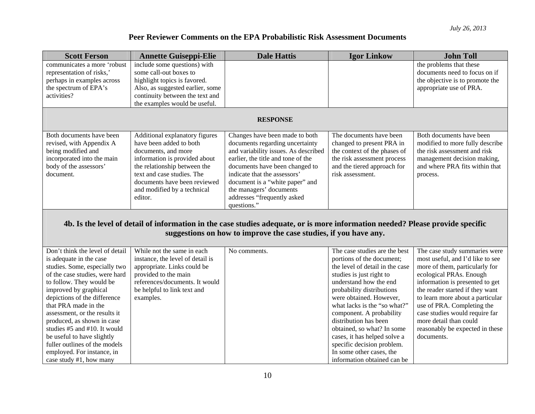more detail than could reasonably be expected in these

documents.

# **Peer Reviewer Comments on the EPA Probabilistic Risk Assessment Documents**

| <b>Scott Ferson</b>                                                                                                                                                                                | <b>Annette Guiseppi-Elie</b>                                                                                                                                                                                                                              | <b>Dale Hattis</b>                                                                                                                                                                                                                                                                                                            | <b>Igor Linkow</b>                                                                                                                                                     | <b>John Toll</b>                                                                                                                                                         |
|----------------------------------------------------------------------------------------------------------------------------------------------------------------------------------------------------|-----------------------------------------------------------------------------------------------------------------------------------------------------------------------------------------------------------------------------------------------------------|-------------------------------------------------------------------------------------------------------------------------------------------------------------------------------------------------------------------------------------------------------------------------------------------------------------------------------|------------------------------------------------------------------------------------------------------------------------------------------------------------------------|--------------------------------------------------------------------------------------------------------------------------------------------------------------------------|
| communicates a more 'robust                                                                                                                                                                        | include some questions) with                                                                                                                                                                                                                              |                                                                                                                                                                                                                                                                                                                               |                                                                                                                                                                        | the problems that these                                                                                                                                                  |
| representation of risks,'                                                                                                                                                                          | some call-out boxes to                                                                                                                                                                                                                                    |                                                                                                                                                                                                                                                                                                                               |                                                                                                                                                                        | documents need to focus on if                                                                                                                                            |
| perhaps in examples across                                                                                                                                                                         | highlight topics is favored.                                                                                                                                                                                                                              |                                                                                                                                                                                                                                                                                                                               |                                                                                                                                                                        | the objective is to promote the                                                                                                                                          |
| the spectrum of EPA's                                                                                                                                                                              | Also, as suggested earlier, some                                                                                                                                                                                                                          |                                                                                                                                                                                                                                                                                                                               |                                                                                                                                                                        | appropriate use of PRA.                                                                                                                                                  |
| activities?                                                                                                                                                                                        | continuity between the text and                                                                                                                                                                                                                           |                                                                                                                                                                                                                                                                                                                               |                                                                                                                                                                        |                                                                                                                                                                          |
|                                                                                                                                                                                                    | the examples would be useful.                                                                                                                                                                                                                             |                                                                                                                                                                                                                                                                                                                               |                                                                                                                                                                        |                                                                                                                                                                          |
|                                                                                                                                                                                                    |                                                                                                                                                                                                                                                           | <b>RESPONSE</b>                                                                                                                                                                                                                                                                                                               |                                                                                                                                                                        |                                                                                                                                                                          |
| Both documents have been<br>revised, with Appendix A<br>being modified and<br>incorporated into the main<br>body of the assessors'<br>document.                                                    | Additional explanatory figures<br>have been added to both<br>documents, and more<br>information is provided about<br>the relationship between the<br>text and case studies. The<br>documents have been reviewed<br>and modified by a technical<br>editor. | Changes have been made to both<br>documents regarding uncertainty<br>and variability issues. As described<br>earlier, the title and tone of the<br>documents have been changed to<br>indicate that the assessors'<br>document is a "white paper" and<br>the managers' documents<br>addresses "frequently asked<br>questions." | The documents have been<br>changed to present PRA in<br>the context of the phases of<br>the risk assessment process<br>and the tiered approach for<br>risk assessment. | Both documents have been<br>modified to more fully describe<br>the risk assessment and risk<br>management decision making,<br>and where PRA fits within that<br>process. |
| 4b. Is the level of detail of information in the case studies adequate, or is more information needed? Please provide specific<br>suggestions on how to improve the case studies, if you have any. |                                                                                                                                                                                                                                                           |                                                                                                                                                                                                                                                                                                                               |                                                                                                                                                                        |                                                                                                                                                                          |
| Don't think the level of detail                                                                                                                                                                    | While not the same in each                                                                                                                                                                                                                                | No comments.                                                                                                                                                                                                                                                                                                                  | The case studies are the best                                                                                                                                          | The case study summaries were                                                                                                                                            |
| is adequate in the case                                                                                                                                                                            | instance, the level of detail is                                                                                                                                                                                                                          |                                                                                                                                                                                                                                                                                                                               | portions of the document;                                                                                                                                              | most useful, and I'd like to see                                                                                                                                         |
| studies. Some, especially two                                                                                                                                                                      | appropriate. Links could be                                                                                                                                                                                                                               |                                                                                                                                                                                                                                                                                                                               | the level of detail in the case                                                                                                                                        | more of them, particularly for                                                                                                                                           |
| of the case studies, were hard                                                                                                                                                                     | provided to the main                                                                                                                                                                                                                                      |                                                                                                                                                                                                                                                                                                                               | studies is just right to                                                                                                                                               | ecological PRAs. Enough                                                                                                                                                  |
| to follow. They would be                                                                                                                                                                           | references/documents. It would                                                                                                                                                                                                                            |                                                                                                                                                                                                                                                                                                                               | understand how the end                                                                                                                                                 | information is presented to get                                                                                                                                          |
| improved by graphical                                                                                                                                                                              | be helpful to link text and                                                                                                                                                                                                                               |                                                                                                                                                                                                                                                                                                                               | probability distributions                                                                                                                                              | the reader started if they want                                                                                                                                          |
| depictions of the difference                                                                                                                                                                       | examples.                                                                                                                                                                                                                                                 |                                                                                                                                                                                                                                                                                                                               | were obtained. However,                                                                                                                                                | to learn more about a particular                                                                                                                                         |
| that PRA made in the                                                                                                                                                                               |                                                                                                                                                                                                                                                           |                                                                                                                                                                                                                                                                                                                               | what lacks is the "so what?"                                                                                                                                           | use of PRA. Completing the                                                                                                                                               |
| assessment, or the results it                                                                                                                                                                      |                                                                                                                                                                                                                                                           |                                                                                                                                                                                                                                                                                                                               | component. A probability                                                                                                                                               | case studies would require far                                                                                                                                           |

distribution has been obtained, so what? In some cases, it has helped solve a specific decision problem. In some other cases, the information obtained can be

produced, as shown in case studies #5 and #10. It would be useful to have slightly fuller outlines of the models employed. For instance, in case study #1, how many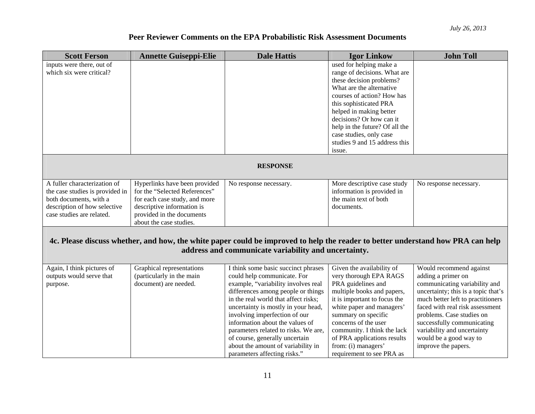| <b>Scott Ferson</b>             | <b>Annette Guiseppi-Elie</b>                                   | <b>Dale Hattis</b>                                                                                                              | <b>Igor Linkow</b>                                        | <b>John Toll</b>                    |
|---------------------------------|----------------------------------------------------------------|---------------------------------------------------------------------------------------------------------------------------------|-----------------------------------------------------------|-------------------------------------|
| inputs were there, out of       |                                                                |                                                                                                                                 | used for helping make a                                   |                                     |
| which six were critical?        |                                                                |                                                                                                                                 | range of decisions. What are                              |                                     |
|                                 |                                                                |                                                                                                                                 | these decision problems?                                  |                                     |
|                                 |                                                                |                                                                                                                                 | What are the alternative                                  |                                     |
|                                 |                                                                |                                                                                                                                 | courses of action? How has                                |                                     |
|                                 |                                                                |                                                                                                                                 | this sophisticated PRA                                    |                                     |
|                                 |                                                                |                                                                                                                                 | helped in making better                                   |                                     |
|                                 |                                                                |                                                                                                                                 | decisions? Or how can it                                  |                                     |
|                                 |                                                                |                                                                                                                                 | help in the future? Of all the                            |                                     |
|                                 |                                                                |                                                                                                                                 | case studies, only case                                   |                                     |
|                                 |                                                                |                                                                                                                                 | studies 9 and 15 address this                             |                                     |
|                                 |                                                                |                                                                                                                                 | issue.                                                    |                                     |
|                                 |                                                                | <b>RESPONSE</b>                                                                                                                 |                                                           |                                     |
| A fuller characterization of    |                                                                |                                                                                                                                 |                                                           |                                     |
| the case studies is provided in | Hyperlinks have been provided<br>for the "Selected References" | No response necessary.                                                                                                          | More descriptive case study<br>information is provided in | No response necessary.              |
| both documents, with a          | for each case study, and more                                  |                                                                                                                                 | the main text of both                                     |                                     |
| description of how selective    | descriptive information is                                     |                                                                                                                                 | documents.                                                |                                     |
| case studies are related.       | provided in the documents                                      |                                                                                                                                 |                                                           |                                     |
|                                 | about the case studies.                                        |                                                                                                                                 |                                                           |                                     |
|                                 |                                                                |                                                                                                                                 |                                                           |                                     |
|                                 |                                                                | 4c. Please discuss whether, and how, the white paper could be improved to help the reader to better understand how PRA can help |                                                           |                                     |
|                                 |                                                                | address and communicate variability and uncertainty.                                                                            |                                                           |                                     |
|                                 |                                                                |                                                                                                                                 |                                                           |                                     |
| Again, I think pictures of      | Graphical representations                                      | I think some basic succinct phrases                                                                                             | Given the availability of                                 | Would recommend against             |
| outputs would serve that        | (particularly in the main                                      | could help communicate. For                                                                                                     | very thorough EPA RAGS                                    | adding a primer on                  |
| purpose.                        | document) are needed.                                          | example, "variability involves real                                                                                             | PRA guidelines and                                        | communicating variability and       |
|                                 |                                                                | differences among people or things                                                                                              | multiple books and papers,                                | uncertainty; this is a topic that's |
|                                 |                                                                | in the real world that affect risks;                                                                                            | it is important to focus the                              | much better left to practitioners   |
|                                 |                                                                | uncertainty is mostly in your head,                                                                                             | white paper and managers'                                 | faced with real risk assessment     |
|                                 |                                                                | involving imperfection of our                                                                                                   | summary on specific                                       | problems. Case studies on           |
|                                 |                                                                | information about the values of                                                                                                 | concerns of the user                                      | successfully communicating          |
|                                 |                                                                | parameters related to risks. We are,                                                                                            | community. I think the lack                               | variability and uncertainty         |
|                                 |                                                                | of course, generally uncertain                                                                                                  | of PRA applications results                               | would be a good way to              |
|                                 |                                                                | about the amount of variability in                                                                                              | from: (i) managers'                                       | improve the papers.                 |
|                                 |                                                                | parameters affecting risks."                                                                                                    | requirement to see PRA as                                 |                                     |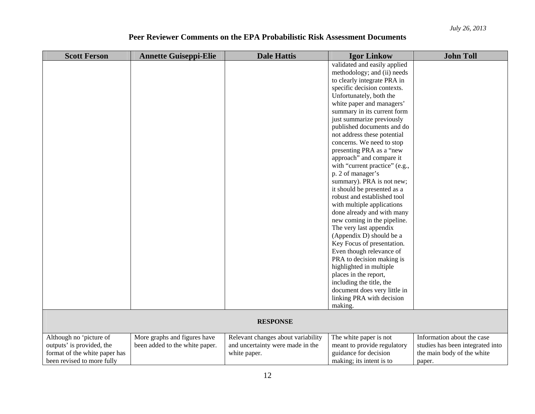| <b>Scott Ferson</b>           | <b>Annette Guiseppi-Elie</b>   | <b>Dale Hattis</b>                 | <b>Igor Linkow</b>             | <b>John Toll</b>                 |
|-------------------------------|--------------------------------|------------------------------------|--------------------------------|----------------------------------|
|                               |                                |                                    | validated and easily applied   |                                  |
|                               |                                |                                    | methodology; and (ii) needs    |                                  |
|                               |                                |                                    | to clearly integrate PRA in    |                                  |
|                               |                                |                                    | specific decision contexts.    |                                  |
|                               |                                |                                    | Unfortunately, both the        |                                  |
|                               |                                |                                    | white paper and managers'      |                                  |
|                               |                                |                                    | summary in its current form    |                                  |
|                               |                                |                                    | just summarize previously      |                                  |
|                               |                                |                                    | published documents and do     |                                  |
|                               |                                |                                    | not address these potential    |                                  |
|                               |                                |                                    | concerns. We need to stop      |                                  |
|                               |                                |                                    | presenting PRA as a "new       |                                  |
|                               |                                |                                    | approach" and compare it       |                                  |
|                               |                                |                                    | with "current practice" (e.g., |                                  |
|                               |                                |                                    | p. 2 of manager's              |                                  |
|                               |                                |                                    | summary). PRA is not new;      |                                  |
|                               |                                |                                    | it should be presented as a    |                                  |
|                               |                                |                                    | robust and established tool    |                                  |
|                               |                                |                                    | with multiple applications     |                                  |
|                               |                                |                                    | done already and with many     |                                  |
|                               |                                |                                    | new coming in the pipeline.    |                                  |
|                               |                                |                                    | The very last appendix         |                                  |
|                               |                                |                                    | (Appendix D) should be a       |                                  |
|                               |                                |                                    | Key Focus of presentation.     |                                  |
|                               |                                |                                    | Even though relevance of       |                                  |
|                               |                                |                                    | PRA to decision making is      |                                  |
|                               |                                |                                    | highlighted in multiple        |                                  |
|                               |                                |                                    | places in the report,          |                                  |
|                               |                                |                                    | including the title, the       |                                  |
|                               |                                |                                    | document does very little in   |                                  |
|                               |                                |                                    | linking PRA with decision      |                                  |
|                               |                                |                                    | making.                        |                                  |
|                               |                                |                                    |                                |                                  |
|                               |                                | <b>RESPONSE</b>                    |                                |                                  |
| Although no 'picture of       | More graphs and figures have   | Relevant changes about variability | The white paper is not         | Information about the case       |
| outputs' is provided, the     | been added to the white paper. | and uncertainty were made in the   | meant to provide regulatory    | studies has been integrated into |
| format of the white paper has |                                | white paper.                       | guidance for decision          | the main body of the white       |
| been revised to more fully    |                                |                                    | making; its intent is to       | paper.                           |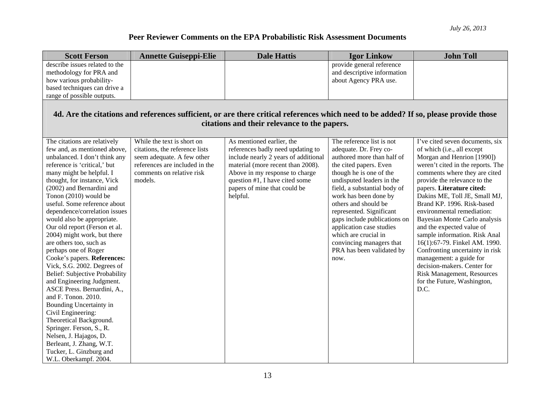| <b>Scott Ferson</b>                                                                                                                                                                   | <b>Annette Guiseppi-Elie</b>   | <b>Dale Hattis</b>                   | <b>Igor Linkow</b>           | <b>John Toll</b>                  |  |  |  |
|---------------------------------------------------------------------------------------------------------------------------------------------------------------------------------------|--------------------------------|--------------------------------------|------------------------------|-----------------------------------|--|--|--|
| describe issues related to the                                                                                                                                                        |                                |                                      | provide general reference    |                                   |  |  |  |
| methodology for PRA and                                                                                                                                                               |                                |                                      | and descriptive information  |                                   |  |  |  |
| how various probability-                                                                                                                                                              |                                |                                      | about Agency PRA use.        |                                   |  |  |  |
| based techniques can drive a                                                                                                                                                          |                                |                                      |                              |                                   |  |  |  |
| range of possible outputs.                                                                                                                                                            |                                |                                      |                              |                                   |  |  |  |
| 4d. Are the citations and references sufficient, or are there critical references which need to be added? If so, please provide those<br>citations and their relevance to the papers. |                                |                                      |                              |                                   |  |  |  |
| The citations are relatively                                                                                                                                                          | While the text is short on     | As mentioned earlier, the            | The reference list is not    | I've cited seven documents, six   |  |  |  |
| few and, as mentioned above,                                                                                                                                                          | citations, the reference lists | references badly need updating to    | adequate. Dr. Frey co-       | of which (i.e., all except        |  |  |  |
| unbalanced. I don't think any                                                                                                                                                         | seem adequate. A few other     | include nearly 2 years of additional | authored more than half of   | Morgan and Henrion [1990])        |  |  |  |
| reference is 'critical,' but                                                                                                                                                          | references are included in the | material (more recent than 2008).    | the cited papers. Even       | weren't cited in the reports. The |  |  |  |
| many might be helpful. I                                                                                                                                                              | comments on relative risk      | Above in my response to charge       | though he is one of the      | comments where they are cited     |  |  |  |
| thought, for instance, Vick                                                                                                                                                           | models.                        | question #1, I have cited some       | undisputed leaders in the    | provide the relevance to the      |  |  |  |
| (2002) and Bernardini and                                                                                                                                                             |                                | papers of mine that could be         | field, a substantial body of | papers. Literature cited:         |  |  |  |
| Tonon (2010) would be                                                                                                                                                                 |                                | helpful.                             | work has been done by        | Dakins ME, Toll JE, Small MJ,     |  |  |  |
| useful. Some reference about                                                                                                                                                          |                                |                                      | others and should be         | Brand KP. 1996. Risk-based        |  |  |  |
| dependence/correlation issues                                                                                                                                                         |                                |                                      | represented. Significant     | environmental remediation:        |  |  |  |
| would also be appropriate.                                                                                                                                                            |                                |                                      | gaps include publications on | Bayesian Monte Carlo analysis     |  |  |  |
| Our old report (Ferson et al.                                                                                                                                                         |                                |                                      | application case studies     | and the expected value of         |  |  |  |
| 2004) might work, but there                                                                                                                                                           |                                |                                      | which are crucial in         | sample information. Risk Anal     |  |  |  |
| are others too, such as                                                                                                                                                               |                                |                                      | convincing managers that     | 16(1):67-79. Finkel AM. 1990.     |  |  |  |
| perhaps one of Roger                                                                                                                                                                  |                                |                                      | PRA has been validated by    | Confronting uncertainty in risk   |  |  |  |
| Cooke's papers. References:                                                                                                                                                           |                                |                                      | now.                         | management: a guide for           |  |  |  |
| Vick, S.G. 2002. Degrees of                                                                                                                                                           |                                |                                      |                              | decision-makers. Center for       |  |  |  |
| <b>Belief: Subjective Probability</b>                                                                                                                                                 |                                |                                      |                              | <b>Risk Management, Resources</b> |  |  |  |
| and Engineering Judgment.                                                                                                                                                             |                                |                                      |                              | for the Future, Washington,       |  |  |  |
| ASCE Press. Bernardini, A.,                                                                                                                                                           |                                |                                      |                              | D.C.                              |  |  |  |
| and F. Tonon. 2010.                                                                                                                                                                   |                                |                                      |                              |                                   |  |  |  |
| Bounding Uncertainty in                                                                                                                                                               |                                |                                      |                              |                                   |  |  |  |
| Civil Engineering:<br>Theoretical Background.                                                                                                                                         |                                |                                      |                              |                                   |  |  |  |
| Springer. Ferson, S., R.                                                                                                                                                              |                                |                                      |                              |                                   |  |  |  |
| Nelsen, J. Hajagos, D.                                                                                                                                                                |                                |                                      |                              |                                   |  |  |  |
| Berleant, J. Zhang, W.T.                                                                                                                                                              |                                |                                      |                              |                                   |  |  |  |
| Tucker, L. Ginzburg and                                                                                                                                                               |                                |                                      |                              |                                   |  |  |  |
| W.L. Oberkampf. 2004.                                                                                                                                                                 |                                |                                      |                              |                                   |  |  |  |